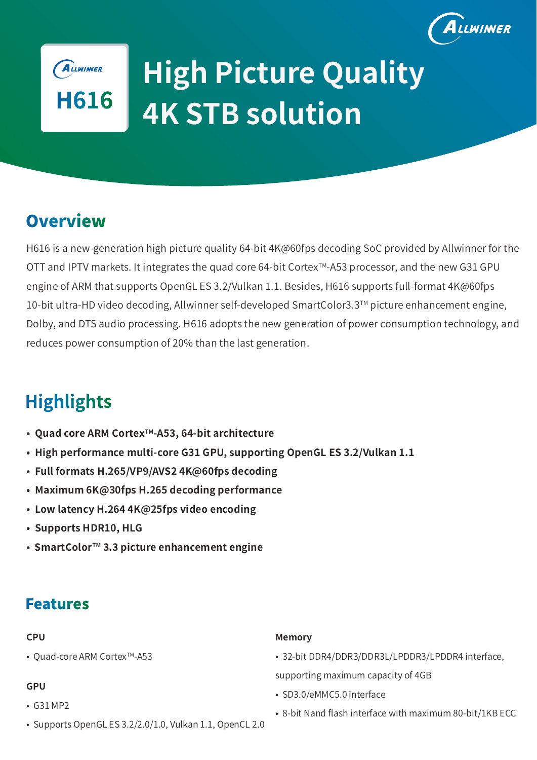



# **4K STB solution High Picture Quality**

### **Overview**

H616 is a new-generation high picture quality 64-bit 4K@60fps decoding SoC provided by Allwinner for the OTT and IPTV markets. It integrates the quad core 64-bit Cortex™-A53 processor, and the new G31 GPU engine of ARM that supports OpenGL ES 3.2/Vulkan 1.1. Besides, H616 supports full-format 4K@60fps 10-bit ultra-HD video decoding, Allwinner self-developed SmartColor3.3TM picture enhancement engine, Dolby, and DTS audio processing. H616 adopts the new generation of power consumption technology, and reduces power consumption of 20% than the last generation.

## **Highlights**

- **Quad core ARM CortexTM-A53, 64-bit architecture**
- **High performance multi-core G31 GPU, supporting OpenGL ES 3.2/Vulkan 1.1**
- **Full formats H.265/VP9/AVS2 4K@60fps decoding**
- **Maximum 6K@30fps H.265 decoding performance**
- **Low latency H.264 4K@25fps video encoding**
- **Supports HDR10, HLG**
- **SmartColorTM 3.3 picture enhancement engine**

### **Features**

#### **CPU**

• Quad-core ARM Cortex<sup>™</sup>-A53

#### **GPU**

- G31 MP2
- Supports OpenGL ES 3.2/2.0/1.0, Vulkan 1.1, OpenCL 2.0

#### **Memory**

• 32-bit DDR4/DDR3/DDR3L/LPDDR3/LPDDR4 interface,

supporting maximum capacity of 4GB

- SD3.0/eMMC5.0 interface
- 8-bit Nand flash interface with maximum 80-bit/1KB ECC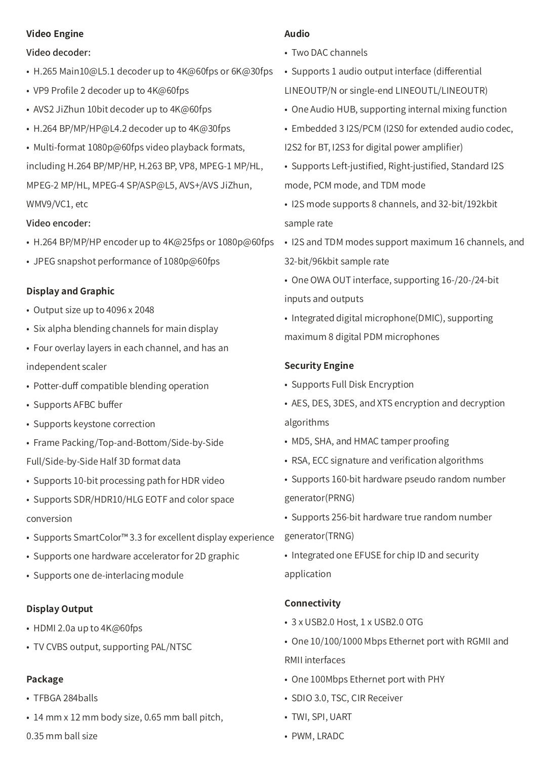#### **Video Engine**

#### Video decoder:

- H.265 Main10@L5.1 decoder up to 4K@60fps or 6K@30fps
- VP9 Profile 2 decoder up to 4K@60fps
- AVS2 JiZhun 10bit decoder up to 4K@60fps
- H.264 BP/MP/HP@L4.2 decoder up to 4K@30fps
- Multi-format 1080p@60fps video playback formats, including H.264 BP/MP/HP, H.263 BP, VP8, MPEG-1 MP/HL, MPEG-2 MP/HL, MPEG-4 SP/ASP@L5, AVS+/AVS JiZhun, WMV9/VC1, etc

#### Video encoder:

- H.264 BP/MP/HP encoder up to 4K@25fps or 1080p@60fps
- JPEG snapshot performance of 1080p@60fps

#### **Display and Graphic**

- Output size up to 4096 x 2048
- Six alpha blending channels for main display
- Four overlay layers in each channel, and has an independent scaler
- Potter-duff compatible blending operation
- Supports AFBC buffer
- Supports keystone correction
- Frame Packing/Top-and-Bottom/Side-by-Side

Full/Side-by-Side Half 3D format data

- Supports 10-bit processing path for HDR video
- Supports SDR/HDR10/HLG EOTF and color space conversion
- Supports SmartColor™ 3.3 for excellent display experience
- Supports one hardware accelerator for 2D graphic
- Supports one de-interlacing module

#### **Display Output**

- HDMI 2.0a up to 4K@60fps
- TV CVBS output, supporting PAL/NTSC

#### **Package**

- TFBGA 284balls
- 14 mm x 12 mm body size, 0.65 mm ball pitch,

0.35 mm ball size

#### **Audio**

- Two DAC channels
- Supports 1 audio output interface (differential LINEOUTP/N or single-end LINEOUTL/LINEOUTR)
- One Audio HUB, supporting internal mixing function
- Embedded 3 I2S/PCM (I2S0 for extended audio codec, I2S2 for BT, I2S3 for digital power amplifier)
- Supports Left-justified, Right-justified, Standard I2S mode, PCM mode, and TDM mode
- I2S mode supports 8 channels, and 32-bit/192kbit sample rate
- I2S and TDM modes support maximum 16 channels, and 32-bit/96kbit sample rate
- One OWA OUT interface, supporting 16-/20-/24-bit inputs and outputs
- Integrated digital microphone(DMIC), supporting maximum 8 digital PDM microphones

#### **Security Engine**

- Supports Full Disk Encryption
- AES, DES, 3DES, and XTS encryption and decryption algorithms
- MD5, SHA, and HMAC tamper proofing
- RSA, ECC signature and verification algorithms
- Supports 160-bit hardware pseudo random number generator(PRNG)
- Supports 256-bit hardware true random number generator(TRNG)
- Integrated one EFUSE for chip ID and security application

#### **Connectivity**

- 3 x USB2.0 Host, 1 x USB2.0 OTG
- One 10/100/1000 Mbps Ethernet port with RGMII and RMII interfaces
- One 100Mbps Ethernet port with PHY
- SDIO 3.0, TSC, CIR Receiver
- TWI, SPI, UART
- PWM, LRADC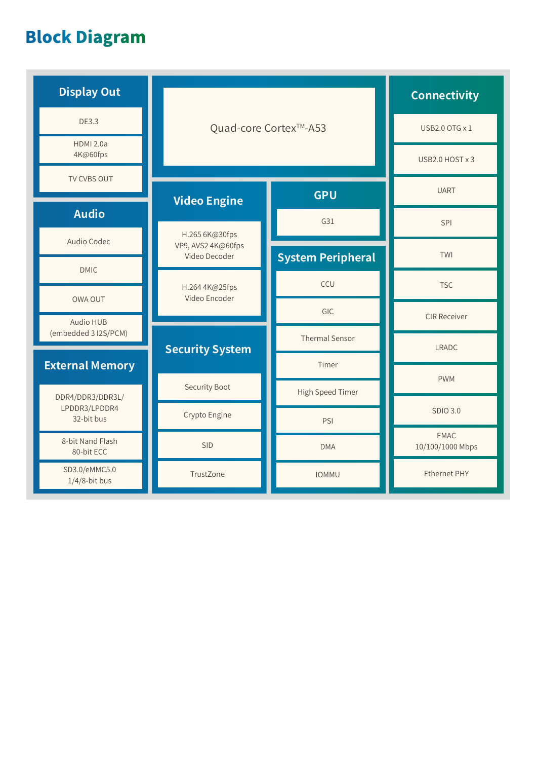# **Block Diagram**

| <b>Display Out</b>                              | Quad-core Cortex™-A53                                 |                          | <b>Connectivity</b>             |
|-------------------------------------------------|-------------------------------------------------------|--------------------------|---------------------------------|
| <b>DE3.3</b>                                    |                                                       |                          | USB2.0 OTG x 1                  |
| <b>HDMI 2.0a</b><br>4K@60fps                    |                                                       |                          | USB2.0 HOST x 3                 |
| TV CVBS OUT                                     | <b>GPU</b><br><b>Video Engine</b>                     |                          | <b>UART</b>                     |
| <b>Audio</b>                                    |                                                       | G31                      | SPI                             |
| Audio Codec                                     | H.265 6K@30fps<br>VP9, AVS2 4K@60fps<br>Video Decoder | <b>System Peripheral</b> | TWI                             |
| <b>DMIC</b>                                     | H.264 4K@25fps                                        | CCU                      | <b>TSC</b>                      |
| <b>OWA OUT</b><br>Audio HUB                     | Video Encoder                                         | GIC                      | <b>CIR Receiver</b>             |
| (embedded 3 I2S/PCM)                            | <b>Security System</b>                                | <b>Thermal Sensor</b>    | <b>LRADC</b>                    |
| <b>External Memory</b>                          |                                                       | Timer                    | <b>PWM</b>                      |
| DDR4/DDR3/DDR3L/<br>LPDDR3/LPDDR4<br>32-bit bus | <b>Security Boot</b>                                  | High Speed Timer         |                                 |
|                                                 | Crypto Engine                                         | PSI                      | <b>SDIO 3.0</b>                 |
| 8-bit Nand Flash<br>80-bit ECC                  | <b>SID</b>                                            | <b>DMA</b>               | <b>EMAC</b><br>10/100/1000 Mbps |
| SD3.0/eMMC5.0<br>$1/4/8$ -bit bus               | TrustZone                                             | <b>IOMMU</b>             | <b>Ethernet PHY</b>             |